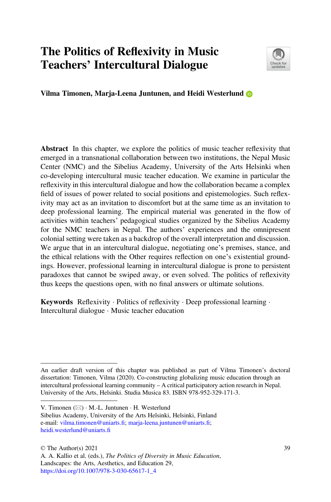# The Politics of Reflexivity in Music Teachers' Intercultural Dialogue



Vilma Timonen, Marja-Leena Juntunen, and Heidi Westerlund

Abstract In this chapter, we explore the politics of music teacher reflexivity that emerged in a transnational collaboration between two institutions, the Nepal Music Center (NMC) and the Sibelius Academy, University of the Arts Helsinki when co-developing intercultural music teacher education. We examine in particular the reflexivity in this intercultural dialogue and how the collaboration became a complex field of issues of power related to social positions and epistemologies. Such reflexivity may act as an invitation to discomfort but at the same time as an invitation to deep professional learning. The empirical material was generated in the flow of activities within teachers' pedagogical studies organized by the Sibelius Academy for the NMC teachers in Nepal. The authors' experiences and the omnipresent colonial setting were taken as a backdrop of the overall interpretation and discussion. We argue that in an intercultural dialogue, negotiating one's premises, stance, and the ethical relations with the Other requires reflection on one's existential groundings. However, professional learning in intercultural dialogue is prone to persistent paradoxes that cannot be swiped away, or even solved. The politics of reflexivity thus keeps the questions open, with no final answers or ultimate solutions.

Keywords Reflexivity · Politics of reflexivity · Deep professional learning · Intercultural dialogue · Music teacher education

An earlier draft version of this chapter was published as part of Vilma Timonen's doctoral dissertation: Timonen, Vilma (2020). Co-constructing globalizing music education through an intercultural professional learning community – A critical participatory action research in Nepal. University of the Arts, Helsinki. Studia Musica 83. ISBN 978-952-329-171-3.

V. Timonen  $(\boxtimes) \cdot M$ .-L. Juntunen  $\cdot H$ . Westerlund

Sibelius Academy, University of the Arts Helsinki, Helsinki, Finland e-mail: [vilma.timonen@uniarts.](mailto:vilma.timonen@uniarts.fi)fi; [marja-leena.juntunen@uniarts.](mailto:marja-leena.juntunen@uniarts.fi)fi; [heidi.westerlund@uniarts.](mailto:heidi.westerlund@uniarts.fi)fi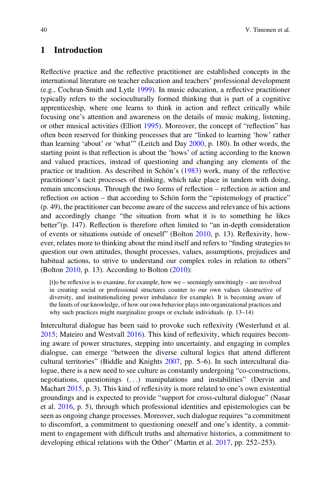### <span id="page-1-0"></span>1 Introduction

Reflective practice and the reflective practitioner are established concepts in the international literature on teacher education and teachers' professional development (e.g., Cochran-Smith and Lytle [1999\)](#page-12-0). In music education, a reflective practitioner typically refers to the socioculturally formed thinking that is part of a cognitive apprenticeship, where one learns to think in action and reflect critically while focusing one's attention and awareness on the details of music making, listening, or other musical activities (Elliott [1995\)](#page-12-1). Moreover, the concept of "reflection" has often been reserved for thinking processes that are "linked to learning 'how' rather than learning 'about' or 'what'" (Leitch and Day [2000](#page-12-2), p. 180). In other words, the starting point is that reflection is about the 'hows' of acting according to the known and valued practices, instead of questioning and changing any elements of the practice or tradition. As described in Schön's ([1983\)](#page-13-0) work, many of the reflective practitioner's tacit processes of thinking, which take place in tandem with doing, remain unconscious. Through the two forms of reflection – reflection in action and reflection *on* action – that according to Schön form the "epistemology of practice" (p. 49), the practitioner can become aware of the success and relevance of his actions and accordingly change "the situation from what it is to something he likes better"(p. 147). Reflection is therefore often limited to "an in-depth consideration of events or situations outside of oneself" (Bolton [2010,](#page-12-3) p. 13). Reflexivity, however, relates more to thinking about the mind itself and refers to "finding strategies to question our own attitudes, thought processes, values, assumptions, prejudices and habitual actions, to strive to understand our complex roles in relation to others" (Bolton [2010,](#page-12-3) p. 13). According to Bolton [\(2010\)](#page-12-3):

[t]o be reflexive is to examine, for example, how we – seemingly unwittingly – are involved in creating social or professional structures counter to our own values (destructive of diversity, and institutionalizing power imbalance for example). It is becoming aware of the limits of our knowledge, of how our own behavior plays into organizational practices and why such practices might marginalize groups or exclude individuals. (p. 13–14)

Intercultural dialogue has been said to provoke such reflexivity (Westerlund et al. [2015;](#page-13-1) Mateiro and Westvall [2016](#page-12-4)). This kind of reflexivity, which requires becoming aware of power structures, stepping into uncertainty, and engaging in complex dialogue, can emerge "between the diverse cultural logics that attend different cultural territories" (Biddle and Knights [2007](#page-12-5), pp. 5–6). In such intercultural dialogue, there is a new need to see culture as constantly undergoing "co-constructions, negotiations, questionings (...) manipulations and instabilities" (Dervin and Machart [2015](#page-12-6), p. 3). This kind of reflexivity is more related to one's own existential groundings and is expected to provide "support for cross-cultural dialogue" (Nasar et al. [2016,](#page-12-7) p. 5), through which professional identities and epistemologies can be seen as ongoing change processes. Moreover, such dialogue requires "a commitment to discomfort, a commitment to questioning oneself and one's identity, a commitment to engagement with difficult truths and alternative histories, a commitment to developing ethical relations with the Other" (Martin et al. [2017](#page-12-8), pp. 252–253).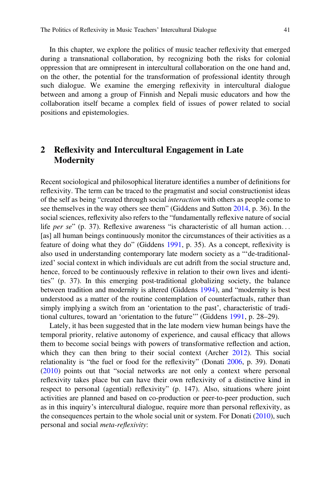In this chapter, we explore the politics of music teacher reflexivity that emerged during a transnational collaboration, by recognizing both the risks for colonial oppression that are omnipresent in intercultural collaboration on the one hand and, on the other, the potential for the transformation of professional identity through such dialogue. We examine the emerging reflexivity in intercultural dialogue between and among a group of Finnish and Nepali music educators and how the collaboration itself became a complex field of issues of power related to social positions and epistemologies.

## <span id="page-2-0"></span>2 Reflexivity and Intercultural Engagement in Late Modernity

Recent sociological and philosophical literature identifies a number of definitions for reflexivity. The term can be traced to the pragmatist and social constructionist ideas of the self as being "created through social interaction with others as people come to see themselves in the way others see them" (Giddens and Sutton [2014](#page-12-9), p. 36). In the social sciences, reflexivity also refers to the "fundamentally reflexive nature of social life per se" (p. 37). Reflexive awareness "is characteristic of all human action... [as] all human beings continuously monitor the circumstances of their activities as a feature of doing what they do" (Giddens [1991](#page-12-10), p. 35). As a concept, reflexivity is also used in understanding contemporary late modern society as a "'de-traditionalized' social context in which individuals are cut adrift from the social structure and, hence, forced to be continuously reflexive in relation to their own lives and identities" (p. 37). In this emerging post-traditional globalizing society, the balance between tradition and modernity is altered (Giddens [1994\)](#page-12-11), and "modernity is best understood as a matter of the routine contemplation of counterfactuals, rather than simply implying a switch from an 'orientation to the past', characteristic of traditional cultures, toward an 'orientation to the future'" (Giddens [1991,](#page-12-10) p. 28–29).

Lately, it has been suggested that in the late modern view human beings have the temporal priority, relative autonomy of experience, and causal efficacy that allows them to become social beings with powers of transformative reflection and action, which they can then bring to their social context (Archer [2012\)](#page-12-12). This social relationality is "the fuel or food for the reflexivity" (Donati [2006,](#page-12-13) p. 39). Donati [\(2010](#page-12-14)) points out that "social networks are not only a context where personal reflexivity takes place but can have their own reflexivity of a distinctive kind in respect to personal (agential) reflexivity" (p. 147). Also, situations where joint activities are planned and based on co-production or peer-to-peer production, such as in this inquiry's intercultural dialogue, require more than personal reflexivity, as the consequences pertain to the whole social unit or system. For Donati [\(2010](#page-12-14)), such personal and social meta-reflexivity: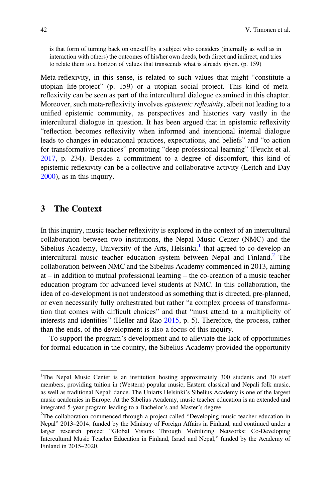is that form of turning back on oneself by a subject who considers (internally as well as in interaction with others) the outcomes of his/her own deeds, both direct and indirect, and tries to relate them to a horizon of values that transcends what is already given. (p. 159)

Meta-reflexivity, in this sense, is related to such values that might "constitute a utopian life-project" (p. 159) or a utopian social project. This kind of metareflexivity can be seen as part of the intercultural dialogue examined in this chapter. Moreover, such meta-reflexivity involves epistemic reflexivity, albeit not leading to a unified epistemic community, as perspectives and histories vary vastly in the intercultural dialogue in question. It has been argued that in epistemic reflexivity "reflection becomes reflexivity when informed and intentional internal dialogue leads to changes in educational practices, expectations, and beliefs" and "to action for transformative practices" promoting "deep professional learning" (Feucht et al. [2017,](#page-12-15) p. 234). Besides a commitment to a degree of discomfort, this kind of epistemic reflexivity can be a collective and collaborative activity (Leitch and Day [2000\)](#page-12-2), as in this inquiry.

#### <span id="page-3-2"></span>3 The Context

In this inquiry, music teacher reflexivity is explored in the context of an intercultural collaboration between two institutions, the Nepal Music Center (NMC) and the Sibelius Academy, University of the Arts, Helsinki, $<sup>1</sup>$  $<sup>1</sup>$  $<sup>1</sup>$  that agreed to co-develop an</sup> intercultural music teacher education system between Nepal and Finland.<sup>[2](#page-3-1)</sup> The collaboration between NMC and the Sibelius Academy commenced in 2013, aiming at – in addition to mutual professional learning – the co-creation of a music teacher education program for advanced level students at NMC. In this collaboration, the idea of co-development is not understood as something that is directed, pre-planned, or even necessarily fully orchestrated but rather "a complex process of transformation that comes with difficult choices" and that "must attend to a multiplicity of interests and identities" (Heller and Rao [2015,](#page-12-16) p. 5). Therefore, the process, rather than the ends, of the development is also a focus of this inquiry.

To support the program's development and to alleviate the lack of opportunities for formal education in the country, the Sibelius Academy provided the opportunity

<span id="page-3-0"></span><sup>&</sup>lt;sup>1</sup>The Nepal Music Center is an institution hosting approximately 300 students and 30 staff members, providing tuition in (Western) popular music, Eastern classical and Nepali folk music, as well as traditional Nepali dance. The Uniarts Helsinki's Sibelius Academy is one of the largest music academies in Europe. At the Sibelius Academy, music teacher education is an extended and integrated 5-year program leading to a Bachelor's and Master's degree.

<span id="page-3-1"></span><sup>&</sup>lt;sup>2</sup>The collaboration commenced through a project called "Developing music teacher education in Nepal" 2013–2014, funded by the Ministry of Foreign Affairs in Finland, and continued under a larger research project "Global Visions Through Mobilizing Networks: Co-Developing Intercultural Music Teacher Education in Finland, Israel and Nepal," funded by the Academy of Finland in 2015–2020.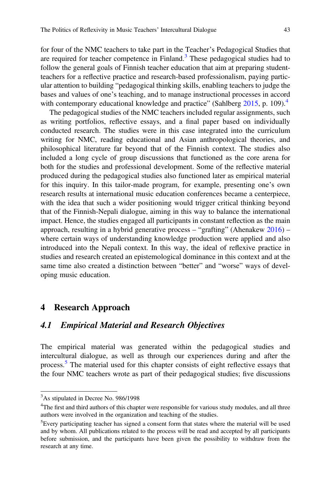for four of the NMC teachers to take part in the Teacher's Pedagogical Studies that are required for teacher competence in Finland.<sup>[3](#page-4-0)</sup> These pedagogical studies had to follow the general goals of Finnish teacher education that aim at preparing studentteachers for a reflective practice and research-based professionalism, paying particular attention to building "pedagogical thinking skills, enabling teachers to judge the bases and values of one's teaching, and to manage instructional processes in accord with contemporary educational knowledge and practice" (Sahlberg [2015](#page-13-2), p. 109).<sup>4</sup>

The pedagogical studies of the NMC teachers included regular assignments, such as writing portfolios, reflective essays, and a final paper based on individually conducted research. The studies were in this case integrated into the curriculum writing for NMC, reading educational and Asian anthropological theories, and philosophical literature far beyond that of the Finnish context. The studies also included a long cycle of group discussions that functioned as the core arena for both for the studies and professional development. Some of the reflective material produced during the pedagogical studies also functioned later as empirical material for this inquiry. In this tailor-made program, for example, presenting one's own research results at international music education conferences became a centerpiece, with the idea that such a wider positioning would trigger critical thinking beyond that of the Finnish-Nepali dialogue, aiming in this way to balance the international impact. Hence, the studies engaged all participants in constant reflection as the main approach, resulting in a hybrid generative process – "grafting" (Ahenakew [2016](#page-11-0)) – where certain ways of understanding knowledge production were applied and also introduced into the Nepali context. In this way, the ideal of reflexive practice in studies and research created an epistemological dominance in this context and at the same time also created a distinction between "better" and "worse" ways of developing music education.

#### 4 Research Approach

#### 4.1 Empirical Material and Research Objectives

The empirical material was generated within the pedagogical studies and intercultural dialogue, as well as through our experiences during and after the process.[5](#page-4-2) The material used for this chapter consists of eight reflective essays that the four NMC teachers wrote as part of their pedagogical studies; five discussions

<span id="page-4-0"></span><sup>&</sup>lt;sup>3</sup>As stipulated in Decree No. 986/1998

<span id="page-4-1"></span><sup>&</sup>lt;sup>4</sup>The first and third authors of this chapter were responsible for various study modules, and all three authors were involved in the organization and teaching of the studies.

<span id="page-4-2"></span> ${}^{5}$ Every participating teacher has signed a consent form that states where the material will be used and by whom. All publications related to the process will be read and accepted by all participants before submission, and the participants have been given the possibility to withdraw from the research at any time.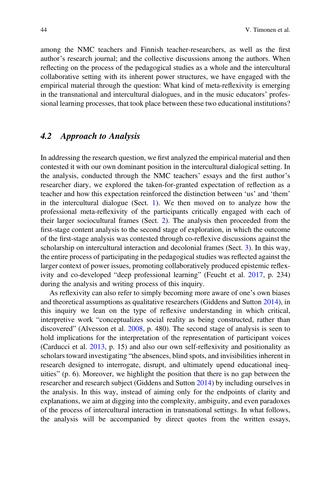among the NMC teachers and Finnish teacher-researchers, as well as the first author's research journal; and the collective discussions among the authors. When reflecting on the process of the pedagogical studies as a whole and the intercultural collaborative setting with its inherent power structures, we have engaged with the empirical material through the question: What kind of meta-reflexivity is emerging in the transnational and intercultural dialogues, and in the music educators' professional learning processes, that took place between these two educational institutions?

#### 4.2 Approach to Analysis

In addressing the research question, we first analyzed the empirical material and then contested it with our own dominant position in the intercultural dialogical setting. In the analysis, conducted through the NMC teachers' essays and the first author's researcher diary, we explored the taken-for-granted expectation of reflection as a teacher and how this expectation reinforced the distinction between 'us' and 'them' in the intercultural dialogue (Sect. [1](#page-1-0)). We then moved on to analyze how the professional meta-reflexivity of the participants critically engaged with each of their larger sociocultural frames (Sect. [2\)](#page-2-0). The analysis then proceeded from the first-stage content analysis to the second stage of exploration, in which the outcome of the first-stage analysis was contested through co-reflexive discussions against the scholarship on intercultural interaction and decolonial frames (Sect. [3](#page-3-2)). In this way, the entire process of participating in the pedagogical studies was reflected against the larger context of power issues, promoting collaboratively produced epistemic reflexivity and co-developed "deep professional learning" (Feucht et al. [2017,](#page-12-15) p. 234) during the analysis and writing process of this inquiry.

As reflexivity can also refer to simply becoming more aware of one's own biases and theoretical assumptions as qualitative researchers (Giddens and Sutton [2014\)](#page-12-9), in this inquiry we lean on the type of reflexive understanding in which critical, interpretive work "conceptualizes social reality as being constructed, rather than discovered" (Alvesson et al. [2008,](#page-12-17) p. 480). The second stage of analysis is seen to hold implications for the interpretation of the representation of participant voices (Carducci et al. [2013](#page-12-18), p. 15) and also our own self-reflexivity and positionality as scholars toward investigating "the absences, blind spots, and invisibilities inherent in research designed to interrogate, disrupt, and ultimately upend educational inequities" (p. 6). Moreover, we highlight the position that there is no gap between the researcher and research subject (Giddens and Sutton [2014](#page-12-9)) by including ourselves in the analysis. In this way, instead of aiming only for the endpoints of clarity and explanations, we aim at digging into the complexity, ambiguity, and even paradoxes of the process of intercultural interaction in transnational settings. In what follows, the analysis will be accompanied by direct quotes from the written essays,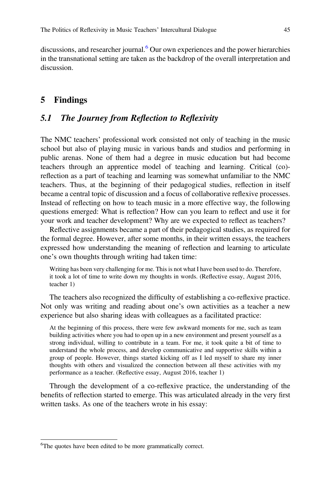discussions, and researcher journal.<sup>[6](#page-6-0)</sup> Our own experiences and the power hierarchies in the transnational setting are taken as the backdrop of the overall interpretation and discussion.

#### 5 Findings

#### 5.1 The Journey from Reflection to Reflexivity

The NMC teachers' professional work consisted not only of teaching in the music school but also of playing music in various bands and studios and performing in public arenas. None of them had a degree in music education but had become teachers through an apprentice model of teaching and learning. Critical (co) reflection as a part of teaching and learning was somewhat unfamiliar to the NMC teachers. Thus, at the beginning of their pedagogical studies, reflection in itself became a central topic of discussion and a focus of collaborative reflexive processes. Instead of reflecting on how to teach music in a more effective way, the following questions emerged: What is reflection? How can you learn to reflect and use it for your work and teacher development? Why are we expected to reflect as teachers?

Reflective assignments became a part of their pedagogical studies, as required for the formal degree. However, after some months, in their written essays, the teachers expressed how understanding the meaning of reflection and learning to articulate one's own thoughts through writing had taken time:

Writing has been very challenging for me. This is not what I have been used to do. Therefore, it took a lot of time to write down my thoughts in words. (Reflective essay, August 2016, teacher 1)

The teachers also recognized the difficulty of establishing a co-reflexive practice. Not only was writing and reading about one's own activities as a teacher a new experience but also sharing ideas with colleagues as a facilitated practice:

At the beginning of this process, there were few awkward moments for me, such as team building activities where you had to open up in a new environment and present yourself as a strong individual, willing to contribute in a team. For me, it took quite a bit of time to understand the whole process, and develop communicative and supportive skills within a group of people. However, things started kicking off as I led myself to share my inner thoughts with others and visualized the connection between all these activities with my performance as a teacher. (Reflective essay, August 2016, teacher 1)

Through the development of a co-reflexive practice, the understanding of the benefits of reflection started to emerge. This was articulated already in the very first written tasks. As one of the teachers wrote in his essay:

<span id="page-6-0"></span><sup>&</sup>lt;sup>6</sup>The quotes have been edited to be more grammatically correct.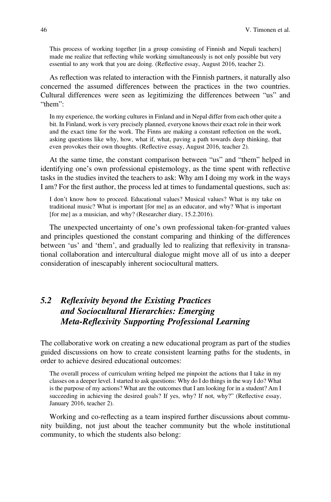This process of working together [in a group consisting of Finnish and Nepali teachers] made me realize that reflecting while working simultaneously is not only possible but very essential to any work that you are doing. (Reflective essay, August 2016, teacher 2).

As reflection was related to interaction with the Finnish partners, it naturally also concerned the assumed differences between the practices in the two countries. Cultural differences were seen as legitimizing the differences between "us" and "them":

In my experience, the working cultures in Finland and in Nepal differ from each other quite a bit. In Finland, work is very precisely planned, everyone knows their exact role in their work and the exact time for the work. The Finns are making a constant reflection on the work, asking questions like why, how, what if, what, paving a path towards deep thinking, that even provokes their own thoughts. (Reflective essay, August 2016, teacher 2).

At the same time, the constant comparison between "us" and "them" helped in identifying one's own professional epistemology, as the time spent with reflective tasks in the studies invited the teachers to ask: Why am I doing my work in the ways I am? For the first author, the process led at times to fundamental questions, such as:

I don't know how to proceed. Educational values? Musical values? What is my take on traditional music? What is important [for me] as an educator, and why? What is important [for me] as a musician, and why? (Researcher diary, 15.2.2016).

The unexpected uncertainty of one's own professional taken-for-granted values and principles questioned the constant comparing and thinking of the differences between 'us' and 'them', and gradually led to realizing that reflexivity in transnational collaboration and intercultural dialogue might move all of us into a deeper consideration of inescapably inherent sociocultural matters.

# 5.2 Reflexivity beyond the Existing Practices and Sociocultural Hierarchies: Emerging Meta-Reflexivity Supporting Professional Learning

The collaborative work on creating a new educational program as part of the studies guided discussions on how to create consistent learning paths for the students, in order to achieve desired educational outcomes:

The overall process of curriculum writing helped me pinpoint the actions that I take in my classes on a deeper level. I started to ask questions: Why do I do things in the way I do? What is the purpose of my actions? What are the outcomes that I am looking for in a student? Am I succeeding in achieving the desired goals? If yes, why? If not, why?" (Reflective essay, January 2016, teacher 2).

Working and co-reflecting as a team inspired further discussions about community building, not just about the teacher community but the whole institutional community, to which the students also belong: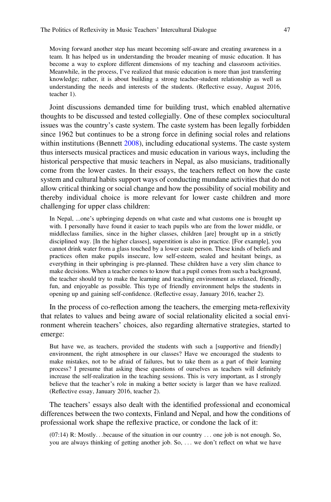Moving forward another step has meant becoming self-aware and creating awareness in a team. It has helped us in understanding the broader meaning of music education. It has become a way to explore different dimensions of my teaching and classroom activities. Meanwhile, in the process, I've realized that music education is more than just transferring knowledge; rather, it is about building a strong teacher-student relationship as well as understanding the needs and interests of the students. (Reflective essay, August 2016, teacher 1).

Joint discussions demanded time for building trust, which enabled alternative thoughts to be discussed and tested collegially. One of these complex sociocultural issues was the country's caste system. The caste system has been legally forbidden since 1962 but continues to be a strong force in defining social roles and relations within institutions (Bennett [2008\)](#page-12-19), including educational systems. The caste system thus intersects musical practices and music education in various ways, including the historical perspective that music teachers in Nepal, as also musicians, traditionally come from the lower castes. In their essays, the teachers reflect on how the caste system and cultural habits support ways of conducting mundane activities that do not allow critical thinking or social change and how the possibility of social mobility and thereby individual choice is more relevant for lower caste children and more challenging for upper class children:

In Nepal, ...one's upbringing depends on what caste and what customs one is brought up with. I personally have found it easier to teach pupils who are from the lower middle, or middleclass families, since in the higher classes, children [are] brought up in a strictly disciplined way. [In the higher classes], superstition is also in practice. [For example], you cannot drink water from a glass touched by a lower caste person. These kinds of beliefs and practices often make pupils insecure, low self-esteem, sealed and hesitant beings, as everything in their upbringing is pre-planned. These children have a very slim chance to make decisions. When a teacher comes to know that a pupil comes from such a background, the teacher should try to make the learning and teaching environment as relaxed, friendly, fun, and enjoyable as possible. This type of friendly environment helps the students in opening up and gaining self-confidence. (Reflective essay, January 2016, teacher 2).

In the process of co-reflection among the teachers, the emerging meta-reflexivity that relates to values and being aware of social relationality elicited a social environment wherein teachers' choices, also regarding alternative strategies, started to emerge:

But have we, as teachers, provided the students with such a [supportive and friendly] environment, the right atmosphere in our classes? Have we encouraged the students to make mistakes, not to be afraid of failures, but to take them as a part of their learning process? I presume that asking these questions of ourselves as teachers will definitely increase the self-realization in the teaching sessions. This is very important, as I strongly believe that the teacher's role in making a better society is larger than we have realized. (Reflective essay, January 2016, teacher 2).

The teachers' essays also dealt with the identified professional and economical differences between the two contexts, Finland and Nepal, and how the conditions of professional work shape the reflexive practice, or condone the lack of it:

 $(07:14)$  R: Mostly...because of the situation in our country ... one job is not enough. So, you are always thinking of getting another job. So, ... we don't reflect on what we have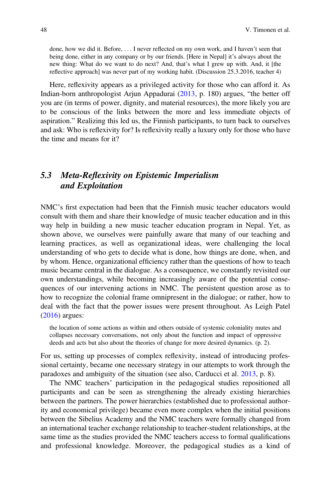done, how we did it. Before, ... I never reflected on my own work, and I haven't seen that being done, either in any company or by our friends. [Here in Nepal] it's always about the new thing: What do we want to do next? And, that's what I grew up with. And, it [the reflective approach] was never part of my working habit. (Discussion 25.3.2016, teacher 4)

Here, reflexivity appears as a privileged activity for those who can afford it. As Indian-born anthropologist Arjun Appadurai [\(2013](#page-12-20), p. 180) argues, "the better off you are (in terms of power, dignity, and material resources), the more likely you are to be conscious of the links between the more and less immediate objects of aspiration." Realizing this led us, the Finnish participants, to turn back to ourselves and ask: Who is reflexivity for? Is reflexivity really a luxury only for those who have the time and means for it?

# 5.3 Meta-Reflexivity on Epistemic Imperialism and Exploitation

NMC's first expectation had been that the Finnish music teacher educators would consult with them and share their knowledge of music teacher education and in this way help in building a new music teacher education program in Nepal. Yet, as shown above, we ourselves were painfully aware that many of our teaching and learning practices, as well as organizational ideas, were challenging the local understanding of who gets to decide what is done, how things are done, when, and by whom. Hence, organizational efficiency rather than the questions of how to teach music became central in the dialogue. As a consequence, we constantly revisited our own understandings, while becoming increasingly aware of the potential consequences of our intervening actions in NMC. The persistent question arose as to how to recognize the colonial frame omnipresent in the dialogue; or rather, how to deal with the fact that the power issues were present throughout. As Leigh Patel [\(2016](#page-13-3)) argues:

the location of some actions as within and others outside of systemic coloniality mutes and collapses necessary conversations, not only about the function and impact of oppressive deeds and acts but also about the theories of change for more desired dynamics. (p. 2).

For us, setting up processes of complex reflexivity, instead of introducing professional certainty, became one necessary strategy in our attempts to work through the paradoxes and ambiguity of the situation (see also, Carducci et al. [2013,](#page-12-18) p. 8).

The NMC teachers' participation in the pedagogical studies repositioned all participants and can be seen as strengthening the already existing hierarchies between the partners. The power hierarchies (established due to professional authority and economical privilege) became even more complex when the initial positions between the Sibelius Academy and the NMC teachers were formally changed from an international teacher exchange relationship to teacher-student relationships, at the same time as the studies provided the NMC teachers access to formal qualifications and professional knowledge. Moreover, the pedagogical studies as a kind of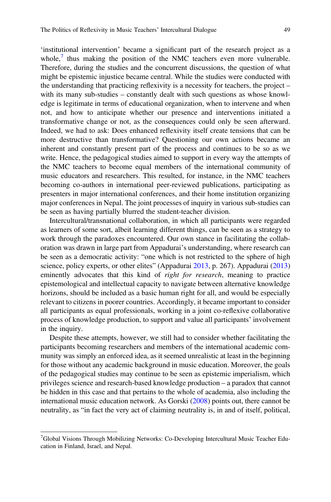'institutional intervention' became a significant part of the research project as a whole, $\frac{7}{1}$  $\frac{7}{1}$  $\frac{7}{1}$  thus making the position of the NMC teachers even more vulnerable. Therefore, during the studies and the concurrent discussions, the question of what might be epistemic injustice became central. While the studies were conducted with the understanding that practicing reflexivity is a necessity for teachers, the project – with its many sub-studies – constantly dealt with such questions as whose knowledge is legitimate in terms of educational organization, when to intervene and when not, and how to anticipate whether our presence and interventions initiated a transformative change or not, as the consequences could only be seen afterward. Indeed, we had to ask: Does enhanced reflexivity itself create tensions that can be more destructive than transformative? Questioning our own actions became an inherent and constantly present part of the process and continues to be so as we write. Hence, the pedagogical studies aimed to support in every way the attempts of the NMC teachers to become equal members of the international community of music educators and researchers. This resulted, for instance, in the NMC teachers becoming co-authors in international peer-reviewed publications, participating as presenters in major international conferences, and their home institution organizing major conferences in Nepal. The joint processes of inquiry in various sub-studies can be seen as having partially blurred the student-teacher division.

Intercultural/transnational collaboration, in which all participants were regarded as learners of some sort, albeit learning different things, can be seen as a strategy to work through the paradoxes encountered. Our own stance in facilitating the collaboration was drawn in large part from Appadurai's understanding, where research can be seen as a democratic activity: "one which is not restricted to the sphere of high science, policy experts, or other elites" (Appadurai [2013,](#page-12-20) p. 267). Appadurai [\(2013](#page-12-20)) eminently advocates that this kind of *right for research*, meaning to practice epistemological and intellectual capacity to navigate between alternative knowledge horizons, should be included as a basic human right for all, and would be especially relevant to citizens in poorer countries. Accordingly, it became important to consider all participants as equal professionals, working in a joint co-reflexive collaborative process of knowledge production, to support and value all participants' involvement in the inquiry.

Despite these attempts, however, we still had to consider whether facilitating the participants becoming researchers and members of the international academic community was simply an enforced idea, as it seemed unrealistic at least in the beginning for those without any academic background in music education. Moreover, the goals of the pedagogical studies may continue to be seen as epistemic imperialism, which privileges science and research-based knowledge production – a paradox that cannot be hidden in this case and that pertains to the whole of academia, also including the international music education network. As Gorski ([2008\)](#page-12-21) points out, there cannot be neutrality, as "in fact the very act of claiming neutrality is, in and of itself, political,

<span id="page-10-0"></span><sup>&</sup>lt;sup>7</sup>Global Visions Through Mobilizing Networks: Co-Developing Intercultural Music Teacher Education in Finland, Israel, and Nepal.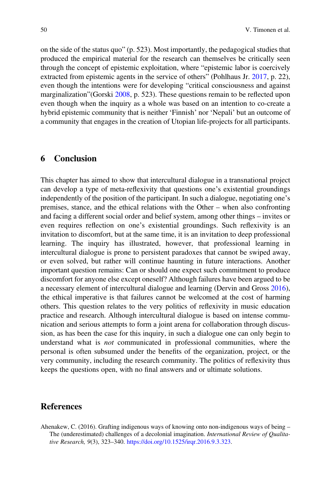on the side of the status quo" (p. 523). Most importantly, the pedagogical studies that produced the empirical material for the research can themselves be critically seen through the concept of epistemic exploitation, where "epistemic labor is coercively extracted from epistemic agents in the service of others" (Pohlhaus Jr. [2017,](#page-13-4) p. 22), even though the intentions were for developing "critical consciousness and against marginalization"(Gorski [2008,](#page-12-21) p. 523). These questions remain to be reflected upon even though when the inquiry as a whole was based on an intention to co-create a hybrid epistemic community that is neither 'Finnish' nor 'Nepali' but an outcome of a community that engages in the creation of Utopian life-projects for all participants.

#### 6 Conclusion

This chapter has aimed to show that intercultural dialogue in a transnational project can develop a type of meta-reflexivity that questions one's existential groundings independently of the position of the participant. In such a dialogue, negotiating one's premises, stance, and the ethical relations with the Other – when also confronting and facing a different social order and belief system, among other things – invites or even requires reflection on one's existential groundings. Such reflexivity is an invitation to discomfort, but at the same time, it is an invitation to deep professional learning. The inquiry has illustrated, however, that professional learning in intercultural dialogue is prone to persistent paradoxes that cannot be swiped away, or even solved, but rather will continue haunting in future interactions. Another important question remains: Can or should one expect such commitment to produce discomfort for anyone else except oneself? Although failures have been argued to be a necessary element of intercultural dialogue and learning (Dervin and Gross [2016\)](#page-12-22), the ethical imperative is that failures cannot be welcomed at the cost of harming others. This question relates to the very politics of reflexivity in music education practice and research. Although intercultural dialogue is based on intense communication and serious attempts to form a joint arena for collaboration through discussion, as has been the case for this inquiry, in such a dialogue one can only begin to understand what is not communicated in professional communities, where the personal is often subsumed under the benefits of the organization, project, or the very community, including the research community. The politics of reflexivity thus keeps the questions open, with no final answers and or ultimate solutions.

#### <span id="page-11-0"></span>References

Ahenakew, C. (2016). Grafting indigenous ways of knowing onto non-indigenous ways of being – The (underestimated) challenges of a decolonial imagination. International Review of Qualitative Research, 9(3), 323–340. <https://doi.org/10.1525/irqr.2016.9.3.323>.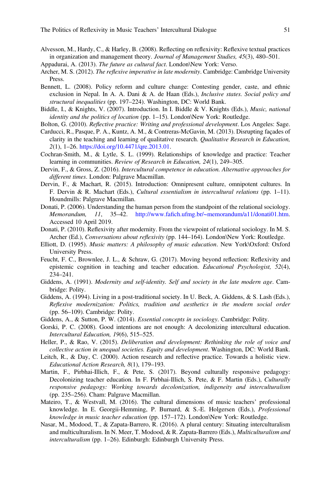- <span id="page-12-17"></span>Alvesson, M., Hardy, C., & Harley, B. (2008). Reflecting on reflexivity: Reflexive textual practices in organization and management theory. Journal of Management Studies, 45(3), 480–501.
- <span id="page-12-20"></span>Appadurai, A. (2013). The future as cultural fact. London\New York: Verso.
- <span id="page-12-12"></span>Archer, M. S. (2012). The reflexive imperative in late modernity. Cambridge: Cambridge University Press.
- <span id="page-12-19"></span>Bennett, L. (2008). Policy reform and culture change: Contesting gender, caste, and ethnic exclusion in Nepal. In A. A. Dani & A. de Haan (Eds.), *Inclusive states. Social policy and* structural inequalities (pp. 197–224). Washington, DC: World Bank.
- <span id="page-12-5"></span>Biddle, I., & Knights, V. (2007). Introduction. In I. Biddle & V. Knights (Eds.), Music, national identity and the politics of location (pp. 1–15). London\New York: Routledge.
- <span id="page-12-3"></span>Bolton, G. (2010). Reflective practice: Writing and professional development. Los Angeles: Sage.
- <span id="page-12-18"></span>Carducci, R., Pasque, P. A., Kuntz, A. M., & Contreras-McGavin, M. (2013). Disrupting façades of clarity in the teaching and learning of qualitative research. Qualitative Research in Education, 2(1), 1–26. <https://doi.org/10.4471/qre.2013.01>.
- <span id="page-12-0"></span>Cochran-Smith, M., & Lytle, S. L. (1999). Relationships of knowledge and practice: Teacher learning in communities. Review of Research in Education, 24(1), 249–305.
- <span id="page-12-22"></span>Dervin, F., & Gross, Z. (2016). Intercultural competence in education. Alternative approaches for different times. London: Palgrave Macmillan.
- <span id="page-12-6"></span>Dervin, F., & Machart, R. (2015). Introduction: Omnipresent culture, omnipotent cultures. In F. Dervin & R. Machart (Eds.), *Cultural essentialism in intercultural relations* (pp. 1–11). Houndmills: Palgrave Macmillan.
- <span id="page-12-13"></span>Donati, P. (2006). Understanding the human person from the standpoint of the relational sociology. Memorandum, 11, 35–42. http://www.fafi[ch.ufmg.br/~memorandum/a11/donati01.htm](http://www.fafich.ufmg.br/~memorandum/a11/donati01.htm). Accessed 10 April 2019.
- <span id="page-12-14"></span>Donati, P. (2010). Reflexivity after modernity. From the viewpoint of relational sociology. In M. S. Archer (Ed.), Conversations about reflexivity (pp. 144–164). London\New York: Routledge.
- <span id="page-12-1"></span>Elliott, D. (1995). Music matters: A philosophy of music education. New York\Oxford: Oxford University Press.
- <span id="page-12-15"></span>Feucht, F. C., Brownlee, J. L., & Schraw, G. (2017). Moving beyond reflection: Reflexivity and epistemic cognition in teaching and teacher education. *Educational Psychologist*, 52(4), 234–241.
- <span id="page-12-10"></span>Giddens, A. (1991). Modernity and self-identity. Self and society in the late modern age. Cambridge: Polity.
- <span id="page-12-11"></span>Giddens, A. (1994). Living in a post-traditional society. In U. Beck, A. Giddens, & S. Lash (Eds.), Reflexive modernization: Politics, tradition and aesthetics in the modern social order (pp. 56–109). Cambridge: Polity.
- <span id="page-12-9"></span>Giddens, A., & Sutton, P. W. (2014). *Essential concepts in sociology*. Cambridge: Polity.
- <span id="page-12-21"></span>Gorski, P. C. (2008). Good intentions are not enough: A decolonizing intercultural education. Intercultural Education, 19(6), 515–525.
- <span id="page-12-16"></span>Heller, P., & Rao, V. (2015). Deliberation and development: Rethinking the role of voice and collective action in unequal societies. Equity and development. Washington, DC: World Bank.
- <span id="page-12-2"></span>Leitch, R., & Day, C. (2000). Action research and reflective practice. Towards a holistic view. Educational Action Research, 8(1), 179–193.
- <span id="page-12-8"></span>Martin, F., Pirbhai-Illich, F., & Pete, S. (2017). Beyond culturally responsive pedagogy: Decolonizing teacher education. In F. Pirbhai-Illich, S. Pete, & F. Martin (Eds.), Culturally responsive pedagogy: Working towards decolonization, indigeneity and interculturalism (pp. 235–256). Cham: Palgrave Macmillan.
- <span id="page-12-4"></span>Mateiro, T., & Westvall, M. (2016). The cultural dimensions of music teachers' professional knowledge. In E. Georgii-Hemming, P. Burnard, & S.-E. Holgersen (Eds.), Professional knowledge in music teacher education (pp. 157–172). London\New York: Routledge.
- <span id="page-12-7"></span>Nasar, M., Modood, T., & Zapata-Barrero, R. (2016). A plural century: Situating interculturalism and multiculturalism. In N. Meer, T. Modood, & R. Zapata-Barrero (Eds.), Multiculturalism and interculturalism (pp. 1–26). Edinburgh: Edinburgh University Press.